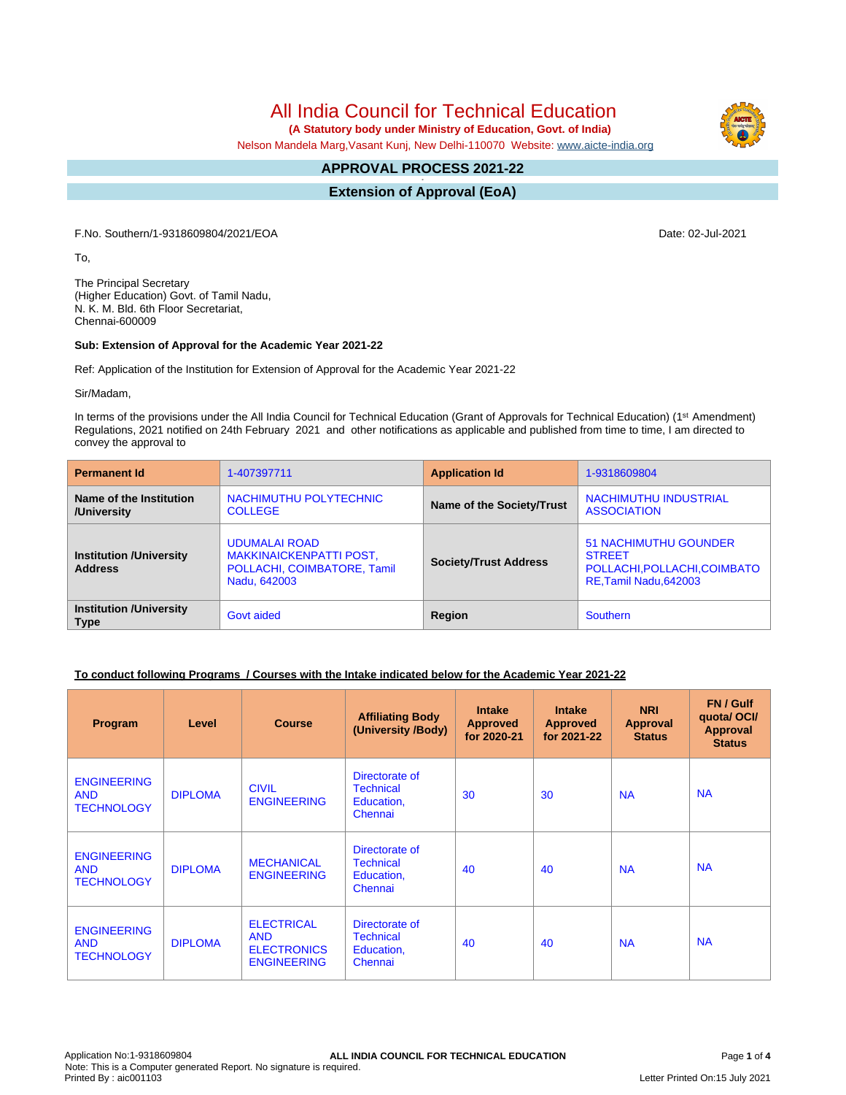All India Council for Technical Education

 **(A Statutory body under Ministry of Education, Govt. of India)**

Nelson Mandela Marg,Vasant Kunj, New Delhi-110070 Website: [www.aicte-india.org](http://www.aicte-india.org)

#### **APPROVAL PROCESS 2021-22 -**

**Extension of Approval (EoA)**

F.No. Southern/1-9318609804/2021/EOA Date: 02-Jul-2021

To,

The Principal Secretary (Higher Education) Govt. of Tamil Nadu, N. K. M. Bld. 6th Floor Secretariat, Chennai-600009

#### **Sub: Extension of Approval for the Academic Year 2021-22**

Ref: Application of the Institution for Extension of Approval for the Academic Year 2021-22

Sir/Madam,

In terms of the provisions under the All India Council for Technical Education (Grant of Approvals for Technical Education) (1<sup>st</sup> Amendment) Regulations, 2021 notified on 24th February 2021 and other notifications as applicable and published from time to time, I am directed to convey the approval to

| <b>Permanent Id</b>                              | 1-407397711                                                                                           | <b>Application Id</b>        | 1-9318609804                                                                                            |
|--------------------------------------------------|-------------------------------------------------------------------------------------------------------|------------------------------|---------------------------------------------------------------------------------------------------------|
| Name of the Institution<br>/University           | NACHIMUTHU POLYTECHNIC<br><b>COLLEGE</b>                                                              | Name of the Society/Trust    | NACHIMUTHU INDUSTRIAL<br><b>ASSOCIATION</b>                                                             |
| <b>Institution /University</b><br><b>Address</b> | <b>UDUMALAI ROAD</b><br><b>MAKKINAICKENPATTI POST,</b><br>POLLACHI, COIMBATORE, Tamil<br>Nadu, 642003 | <b>Society/Trust Address</b> | <b>51 NACHIMUTHU GOUNDER</b><br><b>STREET</b><br>POLLACHI, POLLACHI, COIMBATO<br>RE, Tamil Nadu, 642003 |
| <b>Institution /University</b><br><b>Type</b>    | Govt aided                                                                                            | Region                       | <b>Southern</b>                                                                                         |

#### **To conduct following Programs / Courses with the Intake indicated below for the Academic Year 2021-22**

| Program                                               | Level          | <b>Course</b>                                                               | <b>Affiliating Body</b><br>(University /Body)               | <b>Intake</b><br><b>Approved</b><br>for 2020-21 | <b>Intake</b><br><b>Approved</b><br>for 2021-22 | <b>NRI</b><br><b>Approval</b><br><b>Status</b> | FN / Gulf<br>quotal OCI/<br><b>Approval</b><br><b>Status</b> |
|-------------------------------------------------------|----------------|-----------------------------------------------------------------------------|-------------------------------------------------------------|-------------------------------------------------|-------------------------------------------------|------------------------------------------------|--------------------------------------------------------------|
| <b>ENGINEERING</b><br><b>AND</b><br><b>TECHNOLOGY</b> | <b>DIPLOMA</b> | <b>CIVIL</b><br><b>ENGINEERING</b>                                          | Directorate of<br><b>Technical</b><br>Education,<br>Chennai | 30                                              | 30                                              | <b>NA</b>                                      | <b>NA</b>                                                    |
| <b>ENGINEERING</b><br><b>AND</b><br><b>TECHNOLOGY</b> | <b>DIPLOMA</b> | <b>MECHANICAL</b><br><b>ENGINEERING</b>                                     | Directorate of<br><b>Technical</b><br>Education,<br>Chennai | 40                                              | 40                                              | <b>NA</b>                                      | <b>NA</b>                                                    |
| <b>ENGINEERING</b><br><b>AND</b><br><b>TECHNOLOGY</b> | <b>DIPLOMA</b> | <b>ELECTRICAL</b><br><b>AND</b><br><b>ELECTRONICS</b><br><b>ENGINEERING</b> | Directorate of<br><b>Technical</b><br>Education,<br>Chennai | 40                                              | 40                                              | <b>NA</b>                                      | <b>NA</b>                                                    |

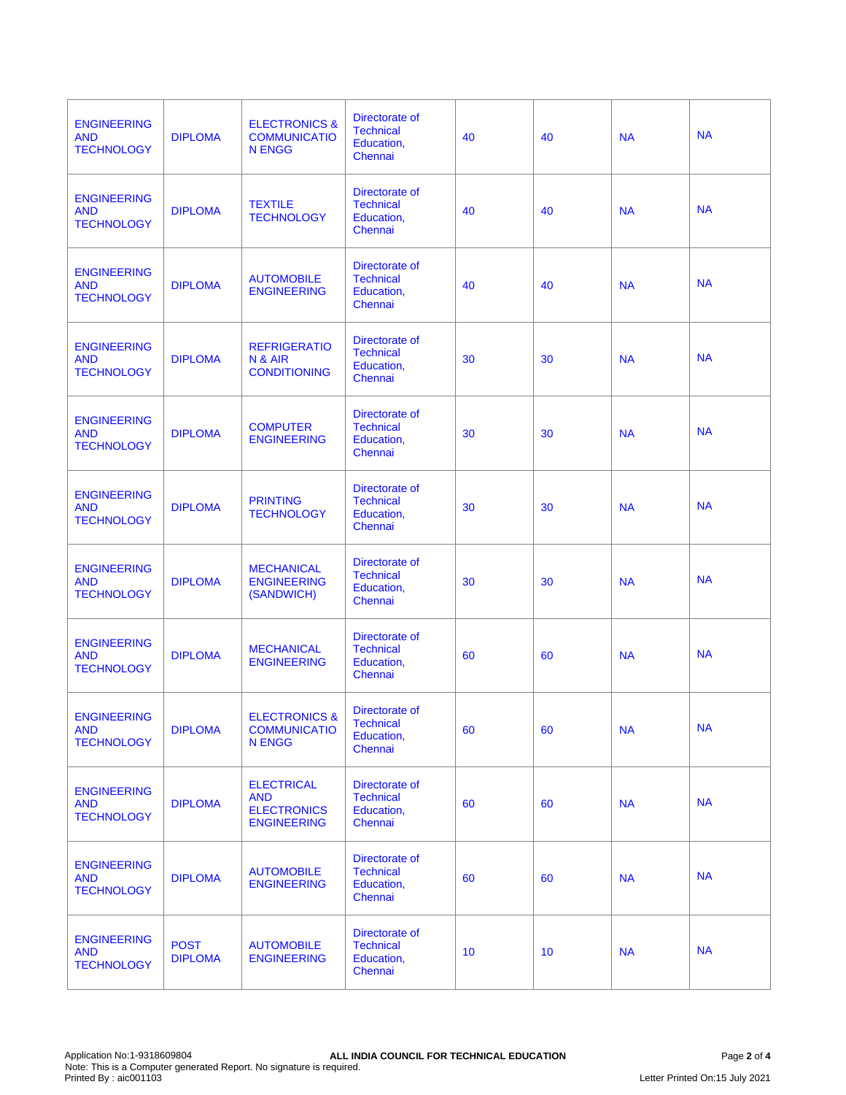| <b>ENGINEERING</b><br><b>AND</b><br><b>TECHNOLOGY</b> | <b>DIPLOMA</b>                | <b>ELECTRONICS &amp;</b><br><b>COMMUNICATIO</b><br><b>N ENGG</b>            | Directorate of<br><b>Technical</b><br>Education,<br>Chennai | 40 | 40 | <b>NA</b> | <b>NA</b> |
|-------------------------------------------------------|-------------------------------|-----------------------------------------------------------------------------|-------------------------------------------------------------|----|----|-----------|-----------|
| <b>ENGINEERING</b><br><b>AND</b><br><b>TECHNOLOGY</b> | <b>DIPLOMA</b>                | <b>TEXTILE</b><br><b>TECHNOLOGY</b>                                         | Directorate of<br><b>Technical</b><br>Education,<br>Chennai | 40 | 40 | <b>NA</b> | <b>NA</b> |
| <b>ENGINEERING</b><br><b>AND</b><br><b>TECHNOLOGY</b> | <b>DIPLOMA</b>                | <b>AUTOMOBILE</b><br><b>ENGINEERING</b>                                     | Directorate of<br><b>Technical</b><br>Education,<br>Chennai | 40 | 40 | <b>NA</b> | <b>NA</b> |
| <b>ENGINEERING</b><br><b>AND</b><br><b>TECHNOLOGY</b> | <b>DIPLOMA</b>                | <b>REFRIGERATIO</b><br>N & AIR<br><b>CONDITIONING</b>                       | Directorate of<br><b>Technical</b><br>Education,<br>Chennai | 30 | 30 | <b>NA</b> | <b>NA</b> |
| <b>ENGINEERING</b><br><b>AND</b><br><b>TECHNOLOGY</b> | <b>DIPLOMA</b>                | <b>COMPUTER</b><br><b>ENGINEERING</b>                                       | Directorate of<br><b>Technical</b><br>Education,<br>Chennai | 30 | 30 | <b>NA</b> | <b>NA</b> |
| <b>ENGINEERING</b><br><b>AND</b><br><b>TECHNOLOGY</b> | <b>DIPLOMA</b>                | <b>PRINTING</b><br><b>TECHNOLOGY</b>                                        | Directorate of<br><b>Technical</b><br>Education,<br>Chennai | 30 | 30 | <b>NA</b> | <b>NA</b> |
| <b>ENGINEERING</b><br><b>AND</b><br><b>TECHNOLOGY</b> | <b>DIPLOMA</b>                | <b>MECHANICAL</b><br><b>ENGINEERING</b><br>(SANDWICH)                       | Directorate of<br><b>Technical</b><br>Education,<br>Chennai | 30 | 30 | <b>NA</b> | <b>NA</b> |
| <b>ENGINEERING</b><br><b>AND</b><br><b>TECHNOLOGY</b> | <b>DIPLOMA</b>                | <b>MECHANICAL</b><br><b>ENGINEERING</b>                                     | Directorate of<br><b>Technical</b><br>Education,<br>Chennai | 60 | 60 | <b>NA</b> | <b>NA</b> |
| <b>ENGINEERING</b><br><b>AND</b><br><b>TECHNOLOGY</b> | <b>DIPLOMA</b>                | <b>ELECTRONICS &amp;</b><br><b>COMMUNICATIO</b><br><b>N ENGG</b>            | Directorate of<br><b>Technical</b><br>Education,<br>Chennai | 60 | 60 | <b>NA</b> | <b>NA</b> |
| <b>ENGINEERING</b><br><b>AND</b><br><b>TECHNOLOGY</b> | <b>DIPLOMA</b>                | <b>ELECTRICAL</b><br><b>AND</b><br><b>ELECTRONICS</b><br><b>ENGINEERING</b> | Directorate of<br><b>Technical</b><br>Education,<br>Chennai | 60 | 60 | <b>NA</b> | <b>NA</b> |
| <b>ENGINEERING</b><br><b>AND</b><br><b>TECHNOLOGY</b> | <b>DIPLOMA</b>                | <b>AUTOMOBILE</b><br><b>ENGINEERING</b>                                     | Directorate of<br><b>Technical</b><br>Education,<br>Chennai | 60 | 60 | <b>NA</b> | <b>NA</b> |
| <b>ENGINEERING</b><br><b>AND</b><br><b>TECHNOLOGY</b> | <b>POST</b><br><b>DIPLOMA</b> | <b>AUTOMOBILE</b><br><b>ENGINEERING</b>                                     | Directorate of<br><b>Technical</b><br>Education,<br>Chennai | 10 | 10 | <b>NA</b> | <b>NA</b> |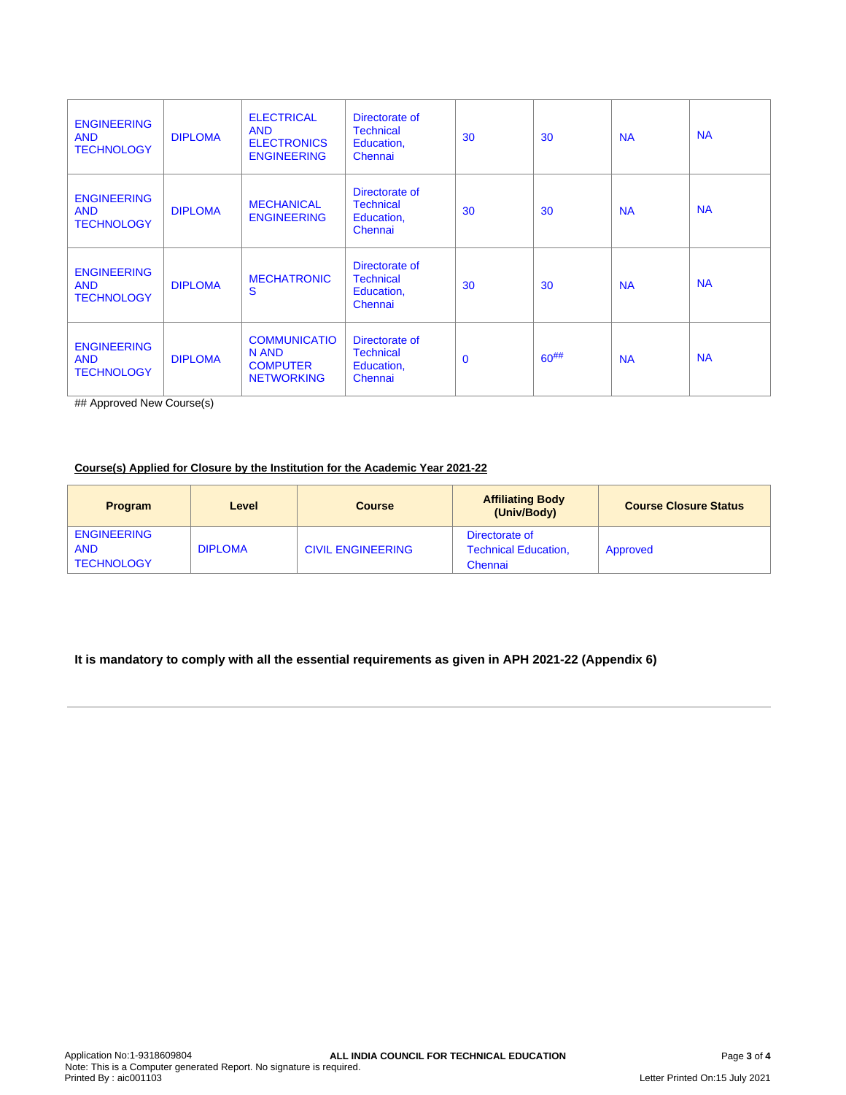| <b>ENGINEERING</b><br><b>AND</b><br><b>TECHNOLOGY</b> | <b>DIPLOMA</b> | <b>ELECTRICAL</b><br><b>AND</b><br><b>ELECTRONICS</b><br><b>ENGINEERING</b> | Directorate of<br><b>Technical</b><br>Education,<br>Chennai | 30       | 30         | <b>NA</b> | <b>NA</b> |
|-------------------------------------------------------|----------------|-----------------------------------------------------------------------------|-------------------------------------------------------------|----------|------------|-----------|-----------|
| <b>ENGINEERING</b><br><b>AND</b><br><b>TECHNOLOGY</b> | <b>DIPLOMA</b> | <b>MECHANICAL</b><br><b>ENGINEERING</b>                                     | Directorate of<br><b>Technical</b><br>Education,<br>Chennai | 30       | 30         | <b>NA</b> | <b>NA</b> |
| <b>ENGINEERING</b><br><b>AND</b><br><b>TECHNOLOGY</b> | <b>DIPLOMA</b> | <b>MECHATRONIC</b><br>S                                                     | Directorate of<br><b>Technical</b><br>Education,<br>Chennai | 30       | 30         | <b>NA</b> | <b>NA</b> |
| <b>ENGINEERING</b><br><b>AND</b><br><b>TECHNOLOGY</b> | <b>DIPLOMA</b> | <b>COMMUNICATIO</b><br>N AND<br><b>COMPUTER</b><br><b>NETWORKING</b>        | Directorate of<br><b>Technical</b><br>Education,<br>Chennai | $\Omega$ | $60^{#}\%$ | <b>NA</b> | <b>NA</b> |

## Approved New Course(s)

### **Course(s) Applied for Closure by the Institution for the Academic Year 2021-22**

| <b>Program</b>                                        | Level          | <b>Course</b>            | <b>Affiliating Body</b><br>(Univ/Body)                   | <b>Course Closure Status</b> |
|-------------------------------------------------------|----------------|--------------------------|----------------------------------------------------------|------------------------------|
| <b>ENGINEERING</b><br><b>AND</b><br><b>TECHNOLOGY</b> | <b>DIPLOMA</b> | <b>CIVIL ENGINEERING</b> | Directorate of<br><b>Technical Education,</b><br>Chennai | Approved                     |

## **It is mandatory to comply with all the essential requirements as given in APH 2021-22 (Appendix 6)**